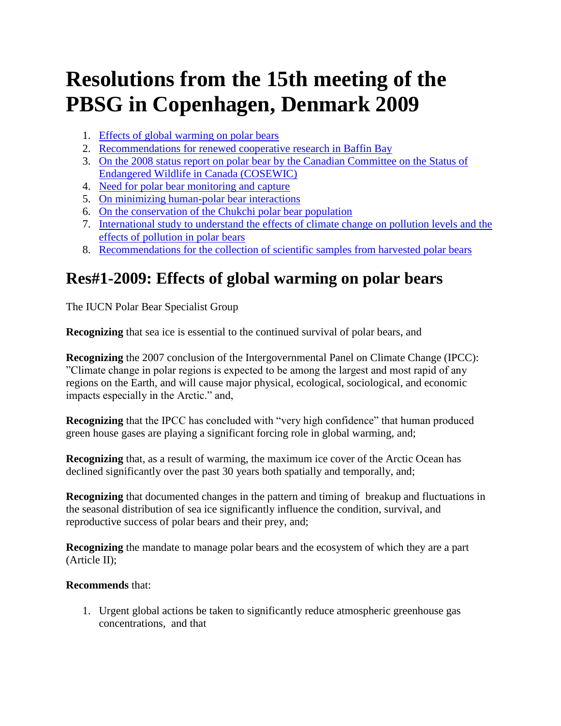# **Resolutions from the 15th meeting of the PBSG in Copenhagen, Denmark 2009**

- 1. [Effects of global warming on polar bears](http://pbsg.npolar.no/en/meetings/resolutions/15.html#res01)
- 2. [Recommendations for renewed cooperative research in Baffin Bay](http://pbsg.npolar.no/en/meetings/resolutions/15.html#res02)
- 3. [On the 2008 status report on polar bear by the Canadian Committee on the Status of](http://pbsg.npolar.no/en/meetings/resolutions/15.html#res03)  [Endangered Wildlife in Canada \(COSEWIC\)](http://pbsg.npolar.no/en/meetings/resolutions/15.html#res03)
- 4. [Need for polar bear monitoring and capture](http://pbsg.npolar.no/en/meetings/resolutions/15.html#res04)
- 5. [On minimizing human-polar bear interactions](http://pbsg.npolar.no/en/meetings/resolutions/15.html#res05)
- 6. [On the conservation of the Chukchi polar bear population](http://pbsg.npolar.no/en/meetings/resolutions/15.html#res06)
- 7. [International study to understand the effects of climate change on pollution levels and the](http://pbsg.npolar.no/en/meetings/resolutions/15.html#res07)  [effects of pollution in polar bears](http://pbsg.npolar.no/en/meetings/resolutions/15.html#res07)
- 8. [Recommendations for the collection of scientific samples from harvested polar bears](http://pbsg.npolar.no/en/meetings/resolutions/15.html#res08)

# **Res#1-2009: Effects of global warming on polar bears**

The IUCN Polar Bear Specialist Group

**Recognizing** that sea ice is essential to the continued survival of polar bears, and

**Recognizing** the 2007 conclusion of the Intergovernmental Panel on Climate Change (IPCC): "Climate change in polar regions is expected to be among the largest and most rapid of any regions on the Earth, and will cause major physical, ecological, sociological, and economic impacts especially in the Arctic." and,

**Recognizing** that the IPCC has concluded with "very high confidence" that human produced green house gases are playing a significant forcing role in global warming, and;

**Recognizing** that, as a result of warming, the maximum ice cover of the Arctic Ocean has declined significantly over the past 30 years both spatially and temporally, and;

**Recognizing** that documented changes in the pattern and timing of breakup and fluctuations in the seasonal distribution of sea ice significantly influence the condition, survival, and reproductive success of polar bears and their prey, and;

**Recognizing** the mandate to manage polar bears and the ecosystem of which they are a part (Article II);

### **Recommends** that:

1. Urgent global actions be taken to significantly reduce atmospheric greenhouse gas concentrations, and that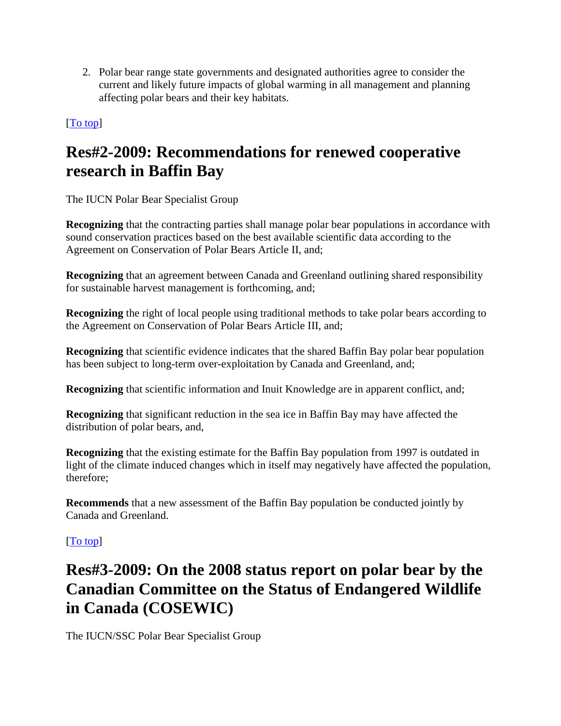2. Polar bear range state governments and designated authorities agree to consider the current and likely future impacts of global warming in all management and planning affecting polar bears and their key habitats.

### [\[To top\]](http://pbsg.npolar.no/en/meetings/resolutions/15.html#top)

# **Res#2-2009: Recommendations for renewed cooperative research in Baffin Bay**

The IUCN Polar Bear Specialist Group

**Recognizing** that the contracting parties shall manage polar bear populations in accordance with sound conservation practices based on the best available scientific data according to the Agreement on Conservation of Polar Bears Article II, and;

**Recognizing** that an agreement between Canada and Greenland outlining shared responsibility for sustainable harvest management is forthcoming, and;

**Recognizing** the right of local people using traditional methods to take polar bears according to the Agreement on Conservation of Polar Bears Article III, and;

**Recognizing** that scientific evidence indicates that the shared Baffin Bay polar bear population has been subject to long-term over-exploitation by Canada and Greenland, and;

**Recognizing** that scientific information and Inuit Knowledge are in apparent conflict, and;

**Recognizing** that significant reduction in the sea ice in Baffin Bay may have affected the distribution of polar bears, and,

**Recognizing** that the existing estimate for the Baffin Bay population from 1997 is outdated in light of the climate induced changes which in itself may negatively have affected the population, therefore;

**Recommends** that a new assessment of the Baffin Bay population be conducted jointly by Canada and Greenland.

### [\[To top\]](http://pbsg.npolar.no/en/meetings/resolutions/15.html#top)

# **Res#3-2009: On the 2008 status report on polar bear by the Canadian Committee on the Status of Endangered Wildlife in Canada (COSEWIC)**

The IUCN/SSC Polar Bear Specialist Group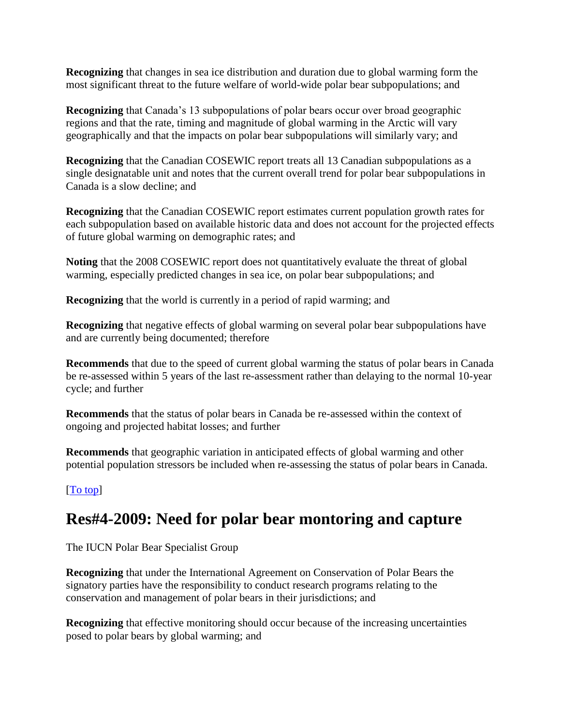**Recognizing** that changes in sea ice distribution and duration due to global warming form the most significant threat to the future welfare of world-wide polar bear subpopulations; and

**Recognizing** that Canada's 13 subpopulations of polar bears occur over broad geographic regions and that the rate, timing and magnitude of global warming in the Arctic will vary geographically and that the impacts on polar bear subpopulations will similarly vary; and

**Recognizing** that the Canadian COSEWIC report treats all 13 Canadian subpopulations as a single designatable unit and notes that the current overall trend for polar bear subpopulations in Canada is a slow decline; and

**Recognizing** that the Canadian COSEWIC report estimates current population growth rates for each subpopulation based on available historic data and does not account for the projected effects of future global warming on demographic rates; and

**Noting** that the 2008 COSEWIC report does not quantitatively evaluate the threat of global warming, especially predicted changes in sea ice, on polar bear subpopulations; and

**Recognizing** that the world is currently in a period of rapid warming; and

**Recognizing** that negative effects of global warming on several polar bear subpopulations have and are currently being documented; therefore

**Recommends** that due to the speed of current global warming the status of polar bears in Canada be re-assessed within 5 years of the last re-assessment rather than delaying to the normal 10-year cycle; and further

**Recommends** that the status of polar bears in Canada be re-assessed within the context of ongoing and projected habitat losses; and further

**Recommends** that geographic variation in anticipated effects of global warming and other potential population stressors be included when re-assessing the status of polar bears in Canada.

### [\[To top\]](http://pbsg.npolar.no/en/meetings/resolutions/15.html#top)

### **Res#4-2009: Need for polar bear montoring and capture**

The IUCN Polar Bear Specialist Group

**Recognizing** that under the International Agreement on Conservation of Polar Bears the signatory parties have the responsibility to conduct research programs relating to the conservation and management of polar bears in their jurisdictions; and

**Recognizing** that effective monitoring should occur because of the increasing uncertainties posed to polar bears by global warming; and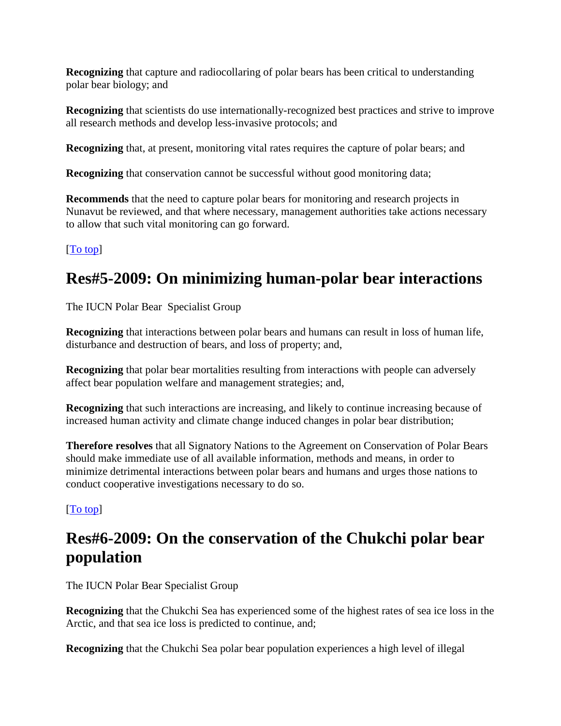**Recognizing** that capture and radiocollaring of polar bears has been critical to understanding polar bear biology; and

**Recognizing** that scientists do use internationally-recognized best practices and strive to improve all research methods and develop less-invasive protocols; and

**Recognizing** that, at present, monitoring vital rates requires the capture of polar bears; and

**Recognizing** that conservation cannot be successful without good monitoring data;

**Recommends** that the need to capture polar bears for monitoring and research projects in Nunavut be reviewed, and that where necessary, management authorities take actions necessary to allow that such vital monitoring can go forward.

### [\[To top\]](http://pbsg.npolar.no/en/meetings/resolutions/15.html#top)

# **Res#5-2009: On minimizing human-polar bear interactions**

The IUCN Polar Bear Specialist Group

**Recognizing** that interactions between polar bears and humans can result in loss of human life, disturbance and destruction of bears, and loss of property; and,

**Recognizing** that polar bear mortalities resulting from interactions with people can adversely affect bear population welfare and management strategies; and,

**Recognizing** that such interactions are increasing, and likely to continue increasing because of increased human activity and climate change induced changes in polar bear distribution;

**Therefore resolves** that all Signatory Nations to the Agreement on Conservation of Polar Bears should make immediate use of all available information, methods and means, in order to minimize detrimental interactions between polar bears and humans and urges those nations to conduct cooperative investigations necessary to do so.

### [\[To top\]](http://pbsg.npolar.no/en/meetings/resolutions/15.html#top)

# **Res#6-2009: On the conservation of the Chukchi polar bear population**

The IUCN Polar Bear Specialist Group

**Recognizing** that the Chukchi Sea has experienced some of the highest rates of sea ice loss in the Arctic, and that sea ice loss is predicted to continue, and;

**Recognizing** that the Chukchi Sea polar bear population experiences a high level of illegal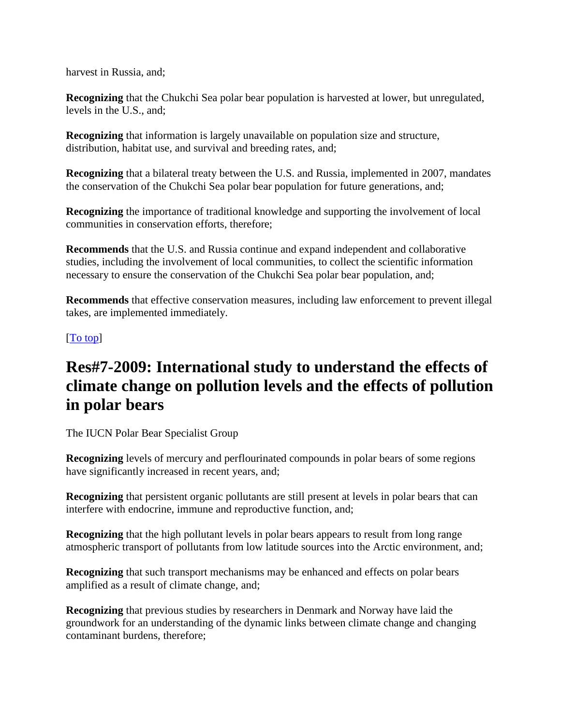harvest in Russia, and;

**Recognizing** that the Chukchi Sea polar bear population is harvested at lower, but unregulated, levels in the U.S., and;

**Recognizing** that information is largely unavailable on population size and structure, distribution, habitat use, and survival and breeding rates, and;

**Recognizing** that a bilateral treaty between the U.S. and Russia, implemented in 2007, mandates the conservation of the Chukchi Sea polar bear population for future generations, and;

**Recognizing** the importance of traditional knowledge and supporting the involvement of local communities in conservation efforts, therefore;

**Recommends** that the U.S. and Russia continue and expand independent and collaborative studies, including the involvement of local communities, to collect the scientific information necessary to ensure the conservation of the Chukchi Sea polar bear population, and;

**Recommends** that effective conservation measures, including law enforcement to prevent illegal takes, are implemented immediately.

### [\[To top\]](http://pbsg.npolar.no/en/meetings/resolutions/15.html#top)

## **Res#7-2009: International study to understand the effects of climate change on pollution levels and the effects of pollution in polar bears**

The IUCN Polar Bear Specialist Group

**Recognizing** levels of mercury and perflourinated compounds in polar bears of some regions have significantly increased in recent years, and;

**Recognizing** that persistent organic pollutants are still present at levels in polar bears that can interfere with endocrine, immune and reproductive function, and;

**Recognizing** that the high pollutant levels in polar bears appears to result from long range atmospheric transport of pollutants from low latitude sources into the Arctic environment, and;

**Recognizing** that such transport mechanisms may be enhanced and effects on polar bears amplified as a result of climate change, and;

**Recognizing** that previous studies by researchers in Denmark and Norway have laid the groundwork for an understanding of the dynamic links between climate change and changing contaminant burdens, therefore;